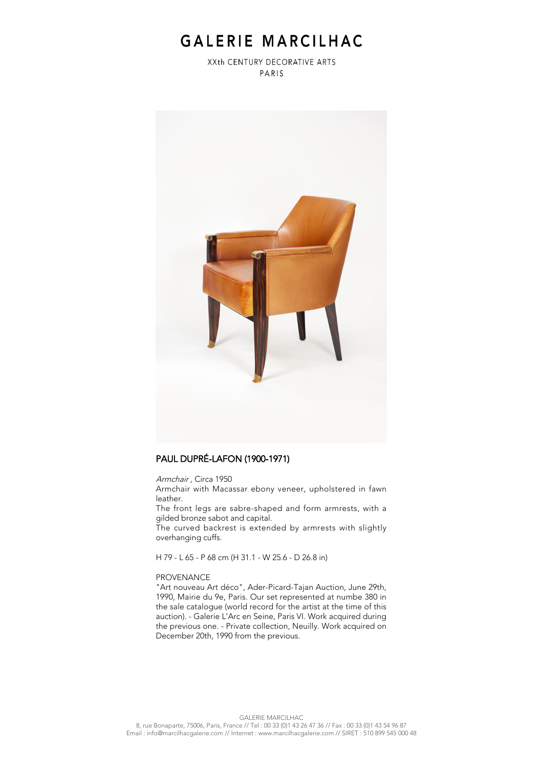## GALERIE MARCILHAC

XXth CENTURY DECORATIVE ARTS PARIS



### PAUL DUPRÉ-LAFON (1900-1971)

Armchair , Circa 1950

Armchair with Macassar ebony veneer, upholstered in fawn leather.

The front legs are sabre-shaped and form armrests, with a gilded bronze sabot and capital.

The curved backrest is extended by armrests with slightly overhanging cuffs.

H 79 - L 65 - P 68 cm (H 31.1 - W 25.6 - D 26.8 in)

#### PROVENANCE

"Art nouveau Art déco", Ader-Picard-Tajan Auction, June 29th, 1990, Mairie du 9e, Paris. Our set represented at numbe 380 in the sale catalogue (world record for the artist at the time of this auction). - Galerie L'Arc en Seine, Paris VI. Work acquired during the previous one. - Private collection, Neuilly. Work acquired on December 20th, 1990 from the previous.